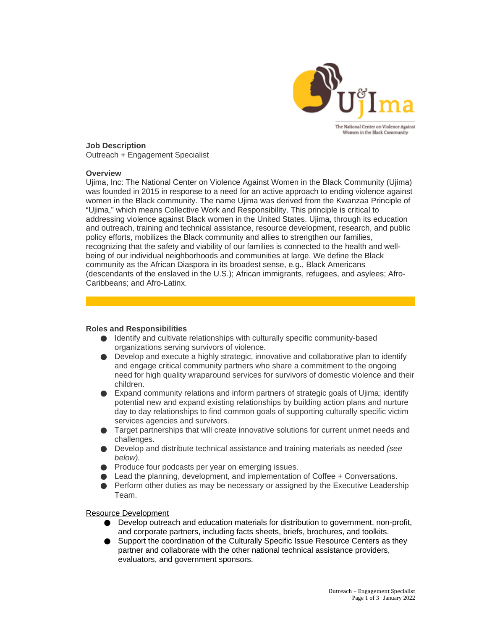

# **Job Description**

Outreach + Engagement Specialist

#### **Overview**

Ujima, Inc: The National Center on Violence Against Women in the Black Community (Ujima) was founded in 2015 in response to a need for an active approach to ending violence against women in the Black community. The name Ujima was derived from the Kwanzaa Principle of "Ujima," which means Collective Work and Responsibility. This principle is critical to addressing violence against Black women in the United States. Ujima, through its education and outreach, training and technical assistance, resource development, research, and public policy efforts, mobilizes the Black community and allies to strengthen our families, recognizing that the safety and viability of our families is connected to the health and wellbeing of our individual neighborhoods and communities at large. We define the Black community as the African Diaspora in its broadest sense, e.g., Black Americans (descendants of the enslaved in the U.S.); African immigrants, refugees, and asylees; Afro-Caribbeans; and Afro-Latinx.

## **Roles and Responsibilities**

- Identify and cultivate relationships with culturally specific community-based organizations serving survivors of violence.
- $\bullet$  Develop and execute a highly strategic, innovative and collaborative plan to identify and engage critical community partners who share a commitment to the ongoing need for high quality wraparound services for survivors of domestic violence and their children.
- $\bullet$  Expand community relations and inform partners of strategic goals of Ujima; identify potential new and expand existing relationships by building action plans and nurture day to day relationships to find common goals of supporting culturally specific victim services agencies and survivors.
- Target partnerships that will create innovative solutions for current unmet needs and challenges.
- Develop and distribute technical assistance and training materials as needed *(see below).*
- Produce four podcasts per year on emerging issues.
- Lead the planning, development, and implementation of Coffee + Conversations.
- Perform other duties as may be necessary or assigned by the Executive Leadership Team.

#### Resource Development

- Develop outreach and education materials for distribution to government, non-profit, and corporate partners, including facts sheets, briefs, brochures, and toolkits.
- Support the coordination of the Culturally Specific Issue Resource Centers as they partner and collaborate with the other national technical assistance providers, evaluators, and government sponsors.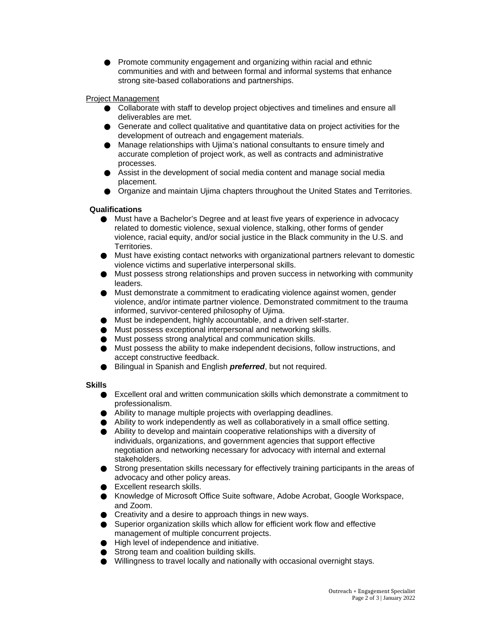● Promote community engagement and organizing within racial and ethnic communities and with and between formal and informal systems that enhance strong site-based collaborations and partnerships.

## Project Management

- Collaborate with staff to develop project objectives and timelines and ensure all deliverables are met.
- Generate and collect qualitative and quantitative data on project activities for the development of outreach and engagement materials.
- Manage relationships with Ujima's national consultants to ensure timely and accurate completion of project work, as well as contracts and administrative processes.
- Assist in the development of social media content and manage social media placement.
- Organize and maintain Ujima chapters throughout the United States and Territories.

## **Qualifications**

- Must have a Bachelor's Degree and at least five years of experience in advocacy related to domestic violence, sexual violence, stalking, other forms of gender violence, racial equity, and/or social justice in the Black community in the U.S. and Territories.
- Must have existing contact networks with organizational partners relevant to domestic violence victims and superlative interpersonal skills.
- Must possess strong relationships and proven success in networking with community leaders.
- Must demonstrate a commitment to eradicating violence against women, gender violence, and/or intimate partner violence. Demonstrated commitment to the trauma informed, survivor-centered philosophy of Ujima.
- **Must be independent, highly accountable, and a driven self-starter.**
- Must possess exceptional interpersonal and networking skills.
- Must possess strong analytical and communication skills.
- Must possess the ability to make independent decisions, follow instructions, and accept constructive feedback.
- **Bilingual in Spanish and English** *preferred*, but not required.

## **Skills**

- Excellent oral and written communication skills which demonstrate a commitment to professionalism.
- Ability to manage multiple projects with overlapping deadlines.
- Ability to work independently as well as collaboratively in a small office setting.
- Ability to develop and maintain cooperative relationships with a diversity of individuals, organizations, and government agencies that support effective negotiation and networking necessary for advocacy with internal and external stakeholders.
- Strong presentation skills necessary for effectively training participants in the areas of advocacy and other policy areas.
- Excellent research skills.
- Knowledge of Microsoft Office Suite software, Adobe Acrobat, Google Workspace, and Zoom.
- Creativity and a desire to approach things in new ways.
- Superior organization skills which allow for efficient work flow and effective management of multiple concurrent projects.
- High level of independence and initiative.
- Strong team and coalition building skills.
- Willingness to travel locally and nationally with occasional overnight stays.